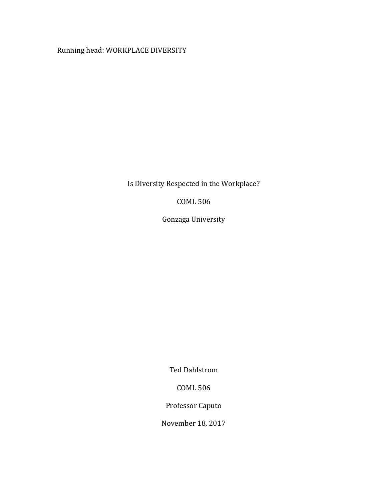Running head: WORKPLACE DIVERSITY

Is Diversity Respected in the Workplace?

**COML 506** 

Gonzaga University

Ted Dahlstrom

COML 506

Professor Caputo

November 18, 2017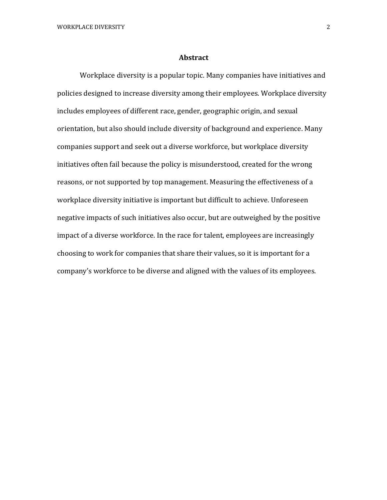#### **Abstract**

Workplace diversity is a popular topic. Many companies have initiatives and policies designed to increase diversity among their employees. Workplace diversity includes employees of different race, gender, geographic origin, and sexual orientation, but also should include diversity of background and experience. Many companies support and seek out a diverse workforce, but workplace diversity initiatives often fail because the policy is misunderstood, created for the wrong reasons, or not supported by top management. Measuring the effectiveness of a workplace diversity initiative is important but difficult to achieve. Unforeseen negative impacts of such initiatives also occur, but are outweighed by the positive impact of a diverse workforce. In the race for talent, employees are increasingly choosing to work for companies that share their values, so it is important for a company's workforce to be diverse and aligned with the values of its employees.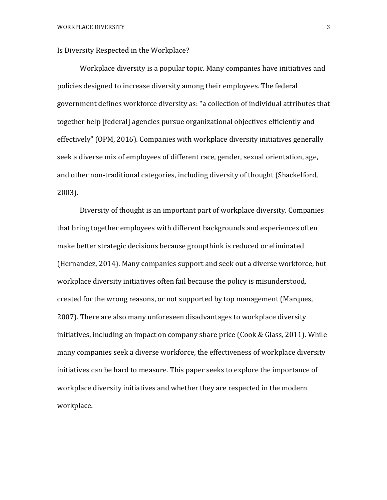Is Diversity Respected in the Workplace?

Workplace diversity is a popular topic. Many companies have initiatives and policies designed to increase diversity among their employees. The federal government defines workforce diversity as: "a collection of individual attributes that together help [federal] agencies pursue organizational objectives efficiently and effectively" (OPM, 2016). Companies with workplace diversity initiatives generally seek a diverse mix of employees of different race, gender, sexual orientation, age, and other non-traditional categories, including diversity of thought (Shackelford, 2003). 

Diversity of thought is an important part of workplace diversity. Companies that bring together employees with different backgrounds and experiences often make better strategic decisions because groupthink is reduced or eliminated (Hernandez, 2014). Many companies support and seek out a diverse workforce, but workplace diversity initiatives often fail because the policy is misunderstood, created for the wrong reasons, or not supported by top management (Marques, 2007). There are also many unforeseen disadvantages to workplace diversity initiatives, including an impact on company share price (Cook & Glass, 2011). While many companies seek a diverse workforce, the effectiveness of workplace diversity initiatives can be hard to measure. This paper seeks to explore the importance of workplace diversity initiatives and whether they are respected in the modern workplace.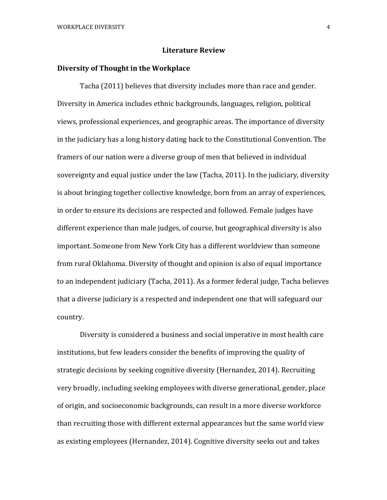#### **Literature Review**

#### **Diversity of Thought in the Workplace**

Tacha (2011) believes that diversity includes more than race and gender. Diversity in America includes ethnic backgrounds, languages, religion, political views, professional experiences, and geographic areas. The importance of diversity in the judiciary has a long history dating back to the Constitutional Convention. The framers of our nation were a diverse group of men that believed in individual sovereignty and equal justice under the law (Tacha, 2011). In the judiciary, diversity is about bringing together collective knowledge, born from an array of experiences, in order to ensure its decisions are respected and followed. Female judges have different experience than male judges, of course, but geographical diversity is also important. Someone from New York City has a different worldview than someone from rural Oklahoma. Diversity of thought and opinion is also of equal importance to an independent judiciary (Tacha, 2011). As a former federal judge, Tacha believes that a diverse judiciary is a respected and independent one that will safeguard our country.

Diversity is considered a business and social imperative in most health care institutions, but few leaders consider the benefits of improving the quality of strategic decisions by seeking cognitive diversity (Hernandez, 2014). Recruiting very broadly, including seeking employees with diverse generational, gender, place of origin, and socioeconomic backgrounds, can result in a more diverse workforce than recruiting those with different external appearances but the same world view as existing employees (Hernandez, 2014). Cognitive diversity seeks out and takes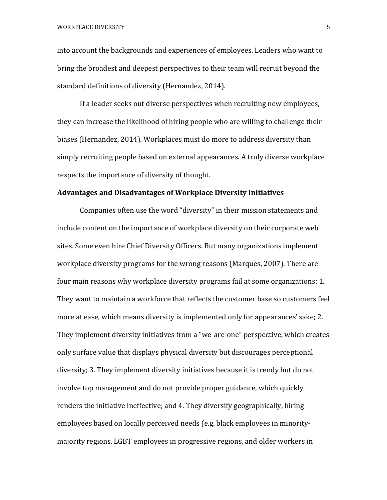into account the backgrounds and experiences of employees. Leaders who want to bring the broadest and deepest perspectives to their team will recruit beyond the standard definitions of diversity (Hernandez, 2014).

If a leader seeks out diverse perspectives when recruiting new employees, they can increase the likelihood of hiring people who are willing to challenge their biases (Hernandez, 2014). Workplaces must do more to address diversity than simply recruiting people based on external appearances. A truly diverse workplace respects the importance of diversity of thought.

# **Advantages and Disadvantages of Workplace Diversity Initiatives**

Companies often use the word "diversity" in their mission statements and include content on the importance of workplace diversity on their corporate web sites. Some even hire Chief Diversity Officers. But many organizations implement workplace diversity programs for the wrong reasons (Marques, 2007). There are four main reasons why workplace diversity programs fail at some organizations: 1. They want to maintain a workforce that reflects the customer base so customers feel more at ease, which means diversity is implemented only for appearances' sake; 2. They implement diversity initiatives from a "we-are-one" perspective, which creates only surface value that displays physical diversity but discourages perceptional diversity; 3. They implement diversity initiatives because it is trendy but do not involve top management and do not provide proper guidance, which quickly renders the initiative ineffective; and 4. They diversify geographically, hiring employees based on locally perceived needs (e.g. black employees in minoritymajority regions, LGBT employees in progressive regions, and older workers in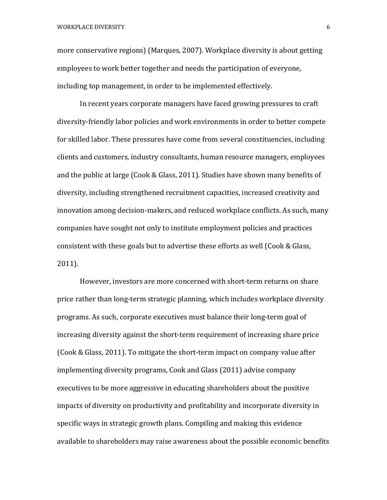more conservative regions) (Marques, 2007). Workplace diversity is about getting employees to work better together and needs the participation of everyone, including top management, in order to be implemented effectively.

In recent years corporate managers have faced growing pressures to craft diversity-friendly labor policies and work environments in order to better compete for skilled labor. These pressures have come from several constituencies, including clients and customers, industry consultants, human resource managers, employees and the public at large (Cook & Glass, 2011). Studies have shown many benefits of diversity, including strengthened recruitment capacities, increased creativity and innovation among decision-makers, and reduced workplace conflicts. As such, many companies have sought not only to institute employment policies and practices consistent with these goals but to advertise these efforts as well (Cook & Glass, 2011).

However, investors are more concerned with short-term returns on share price rather than long-term strategic planning, which includes workplace diversity programs. As such, corporate executives must balance their long-term goal of increasing diversity against the short-term requirement of increasing share price (Cook & Glass, 2011). To mitigate the short-term impact on company value after implementing diversity programs, Cook and Glass (2011) advise company executives to be more aggressive in educating shareholders about the positive impacts of diversity on productivity and profitability and incorporate diversity in specific ways in strategic growth plans. Compiling and making this evidence available to shareholders may raise awareness about the possible economic benefits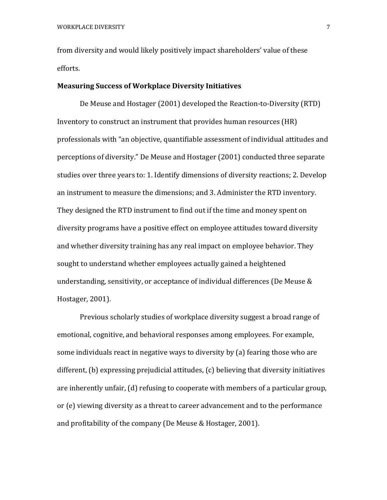from diversity and would likely positively impact shareholders' value of these efforts. 

## **Measuring Success of Workplace Diversity Initiatives**

De Meuse and Hostager (2001) developed the Reaction-to-Diversity (RTD) Inventory to construct an instrument that provides human resources (HR) professionals with "an objective, quantifiable assessment of individual attitudes and perceptions of diversity." De Meuse and Hostager (2001) conducted three separate studies over three years to: 1. Identify dimensions of diversity reactions; 2. Develop an instrument to measure the dimensions; and 3. Administer the RTD inventory. They designed the RTD instrument to find out if the time and money spent on diversity programs have a positive effect on employee attitudes toward diversity and whether diversity training has any real impact on employee behavior. They sought to understand whether employees actually gained a heightened understanding, sensitivity, or acceptance of individual differences (De Meuse  $&$ Hostager, 2001).

Previous scholarly studies of workplace diversity suggest a broad range of emotional, cognitive, and behavioral responses among employees. For example, some individuals react in negative ways to diversity by (a) fearing those who are different,  $(b)$  expressing prejudicial attitudes,  $(c)$  believing that diversity initiatives are inherently unfair, (d) refusing to cooperate with members of a particular group, or (e) viewing diversity as a threat to career advancement and to the performance and profitability of the company (De Meuse & Hostager, 2001).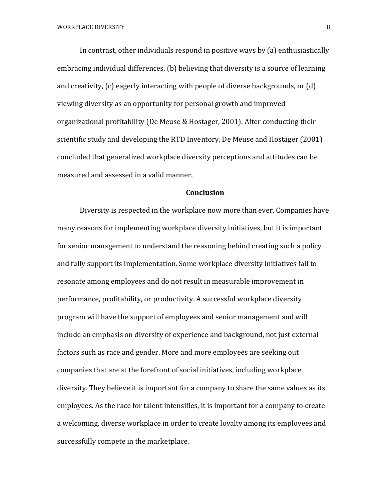In contrast, other individuals respond in positive ways by  $(a)$  enthusiastically embracing individual differences, (b) believing that diversity is a source of learning and creativity,  $(c)$  eagerly interacting with people of diverse backgrounds, or  $(d)$ viewing diversity as an opportunity for personal growth and improved organizational profitability (De Meuse & Hostager, 2001). After conducting their scientific study and developing the RTD Inventory, De Meuse and Hostager (2001) concluded that generalized workplace diversity perceptions and attitudes can be measured and assessed in a valid manner.

## **Conclusion**

Diversity is respected in the workplace now more than ever. Companies have many reasons for implementing workplace diversity initiatives, but it is important for senior management to understand the reasoning behind creating such a policy and fully support its implementation. Some workplace diversity initiatives fail to resonate among employees and do not result in measurable improvement in performance, profitability, or productivity. A successful workplace diversity program will have the support of employees and senior management and will include an emphasis on diversity of experience and background, not just external factors such as race and gender. More and more employees are seeking out companies that are at the forefront of social initiatives, including workplace diversity. They believe it is important for a company to share the same values as its employees. As the race for talent intensifies, it is important for a company to create a welcoming, diverse workplace in order to create loyalty among its employees and successfully compete in the marketplace.